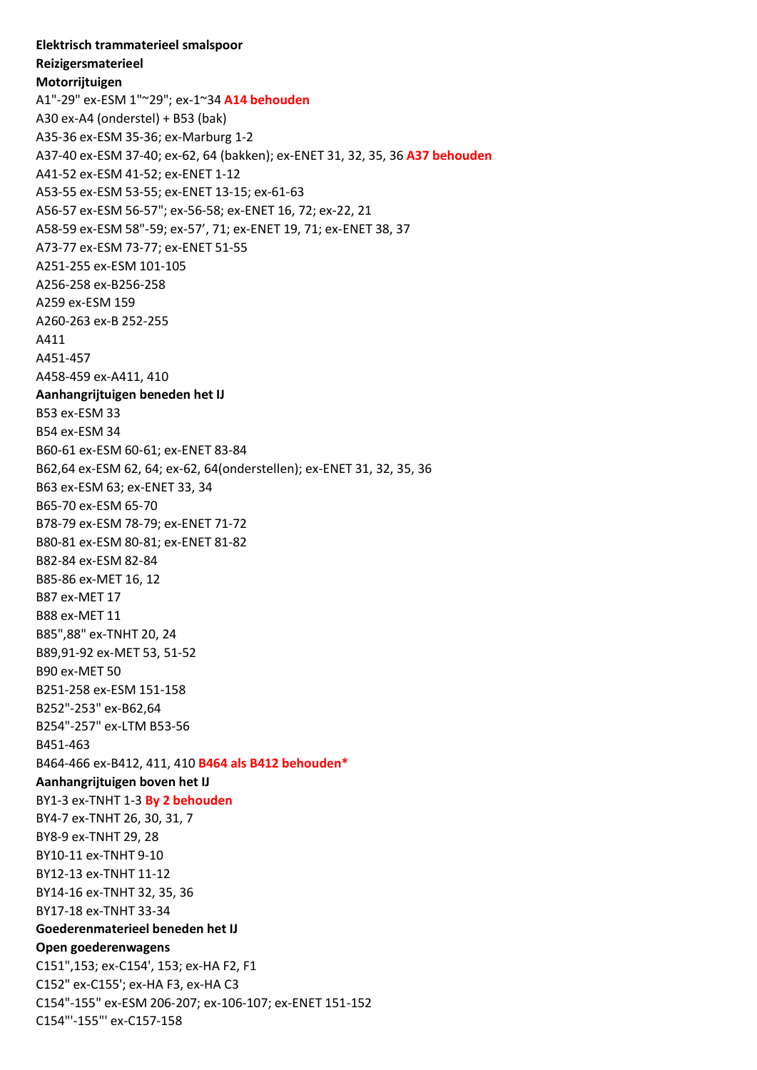## **Elektrisch trammaterieel smalspoor Reizigersmaterieel Motorrijtuigen** A1"-29" ex-ESM 1"~29"; ex-1~34 **A14 behouden** A30 ex-A4 (onderstel) + B53 (bak) A35-36 ex-ESM 35-36; ex-Marburg 1-2 A37-40 ex-ESM 37-40; ex-62, 64 (bakken); ex-ENET 31, 32, 35, 36 **A37 behouden** A41-52 ex-ESM 41-52; ex-ENET 1-12 A53-55 ex-ESM 53-55; ex-ENET 13-15; ex-61-63 A56-57 ex-ESM 56-57"; ex-56-58; ex-ENET 16, 72; ex-22, 21 A58-59 ex-ESM 58"-59; ex-57', 71; ex-ENET 19, 71; ex-ENET 38, 37 A73-77 ex-ESM 73-77; ex-ENET 51-55 A251-255 ex-ESM 101-105 A256-258 ex-B256-258 A259 ex-ESM 159 A260-263 ex-B 252-255 A411 A451-457 A458-459 ex-A411, 410 **Aanhangrijtuigen beneden het IJ** B53 ex-ESM 33 B54 ex-ESM 34 B60-61 ex-ESM 60-61; ex-ENET 83-84 B62,64 ex-ESM 62, 64; ex-62, 64(onderstellen); ex-ENET 31, 32, 35, 36 B63 ex-ESM 63; ex-ENET 33, 34 B65-70 ex-ESM 65-70 B78-79 ex-ESM 78-79; ex-ENET 71-72 B80-81 ex-ESM 80-81; ex-ENET 81-82 B82-84 ex-ESM 82-84 B85-86 ex-MET 16, 12 B87 ex-MET 17 B88 ex-MET 11 B85",88" ex-TNHT 20, 24 B89,91-92 ex-MET 53, 51-52 B90 ex-MET 50 B251-258 ex-ESM 151-158 B252"-253" ex-B62,64 B254"-257" ex-LTM B53-56 B451-463 B464-466 ex-B412, 411, 410 **B464 als B412 behouden\* Aanhangrijtuigen boven het IJ** BY1-3 ex-TNHT 1-3 **By 2 behouden** BY4-7 ex-TNHT 26, 30, 31, 7 BY8-9 ex-TNHT 29, 28 BY10-11 ex-TNHT 9-10 BY12-13 ex-TNHT 11-12 BY14-16 ex-TNHT 32, 35, 36 BY17-18 ex-TNHT 33-34 **Goederenmaterieel beneden het IJ Open goederenwagens** C151",153; ex-C154', 153; ex-HA F2, F1 C152" ex-C155'; ex-HA F3, ex-HA C3 C154"-155" ex-ESM 206-207; ex-106-107; ex-ENET 151-152 C154"'-155"' ex-C157-158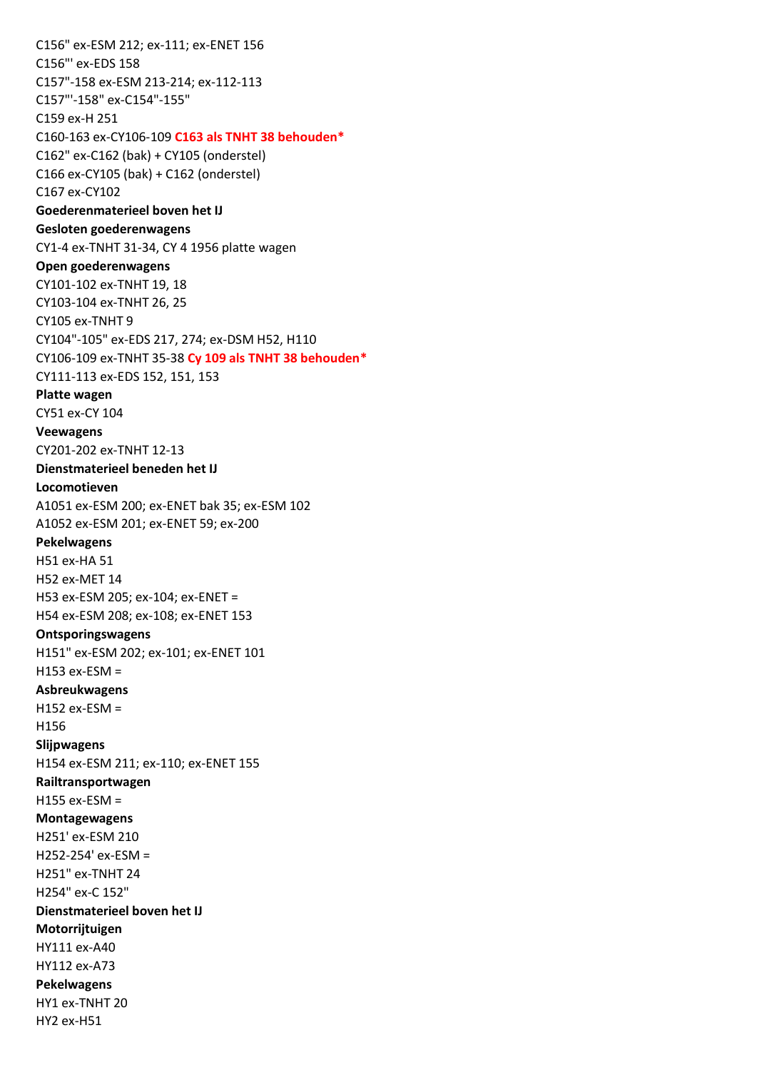C156" ex-ESM 212; ex-111; ex-ENET 156 C156"' ex-EDS 158 C157"-158 ex-ESM 213-214; ex-112-113 C157"'-158" ex-C154"-155" C159 ex-H 251 C160-163 ex-CY106-109 **C163 als TNHT 38 behouden\*** C162" ex-C162 (bak) + CY105 (onderstel) C166 ex-CY105 (bak) + C162 (onderstel) C167 ex-CY102 **Goederenmaterieel boven het IJ Gesloten goederenwagens** CY1-4 ex-TNHT 31-34, CY 4 1956 platte wagen **Open goederenwagens** CY101-102 ex-TNHT 19, 18 CY103-104 ex-TNHT 26, 25 CY105 ex-TNHT 9 CY104"-105" ex-EDS 217, 274; ex-DSM H52, H110 CY106-109 ex-TNHT 35-38 **Cy 109 als TNHT 38 behouden\*** CY111-113 ex-EDS 152, 151, 153 **Platte wagen** CY51 ex-CY 104 **Veewagens** CY201-202 ex-TNHT 12-13 **Dienstmaterieel beneden het IJ Locomotieven** A1051 ex-ESM 200; ex-ENET bak 35; ex-ESM 102 A1052 ex-ESM 201; ex-ENET 59; ex-200 **Pekelwagens** H51 ex-HA 51 H52 ex-MET 14 H53 ex-ESM 205; ex-104; ex-ENET = H54 ex-ESM 208; ex-108; ex-ENET 153 **Ontsporingswagens** H151" ex-ESM 202; ex-101; ex-ENET 101 H153 ex-ESM = **Asbreukwagens** H152 ex-ESM = H156 **Slijpwagens** H154 ex-ESM 211; ex-110; ex-ENET 155 **Railtransportwagen** H155 ex-ESM = **Montagewagens** H251' ex-ESM 210 H252-254' ex-ESM = H251" ex-TNHT 24 H254" ex-C 152" **Dienstmaterieel boven het IJ Motorrijtuigen** HY111 ex-A40 HY112 ex-A73 **Pekelwagens** HY1 ex-TNHT 20 HY2 ex-H51